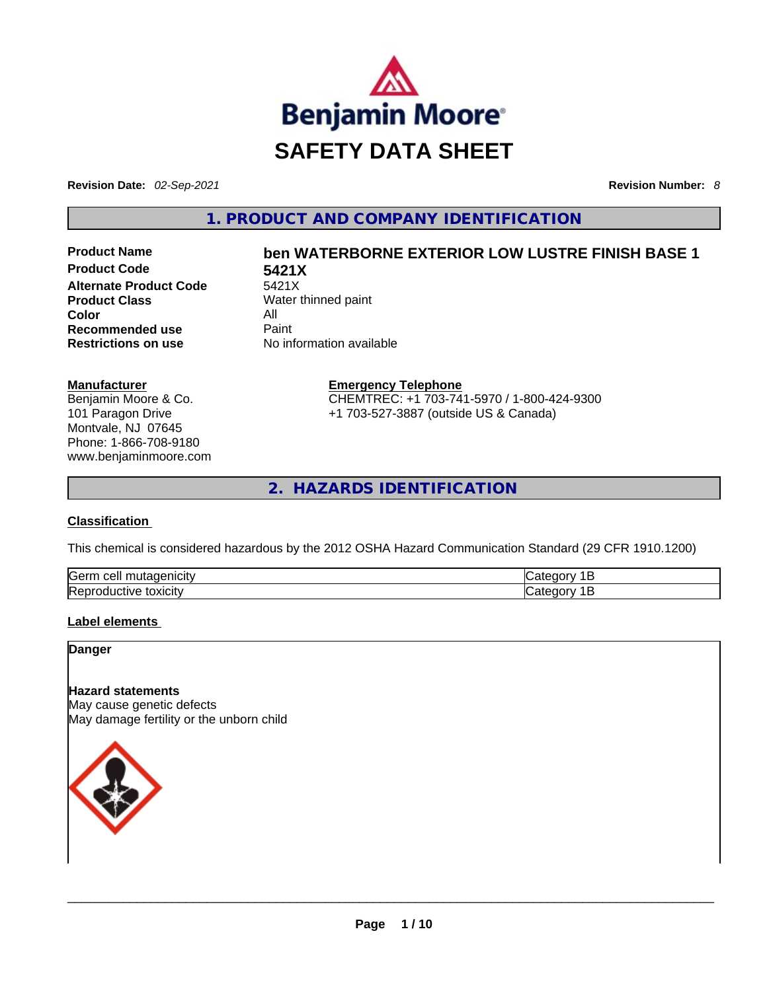

**Revision Date:** *02-Sep-2021* **Revision Number:** *8*

**1. PRODUCT AND COMPANY IDENTIFICATION** 

**Product Name ben WATERBORNE EXTERIOR LOW LUSTRE FINISH BASE 1 Product Code 5421X Alternate Product Code** 5421X **Product Class** Water thinned paint **Color** All **Recommended use Paint Restrictions on use** No information available

**Manufacturer**

Benjamin Moore & Co. 101 Paragon Drive Montvale, NJ 07645 Phone: 1-866-708-9180 www.benjaminmoore.com **Emergency Telephone** CHEMTREC: +1 703-741-5970 / 1-800-424-9300 +1 703-527-3887 (outside US & Canada)

**2. HAZARDS IDENTIFICATION** 

# **Classification**

This chemical is considered hazardous by the 2012 OSHA Hazard Communication Standard (29 CFR 1910.1200)

| Ger<br>יסenıcıtטr<br>cell<br>.<br>aurages                    |      |
|--------------------------------------------------------------|------|
| r<br>toxicity<br><br>$\sim$ on $\sim$<br>ıve<br>oaucu<br>RH. | יטיש |

# **Label elements**

**Danger** 

# **Hazard statements**

May cause genetic defects May damage fertility or the unborn child

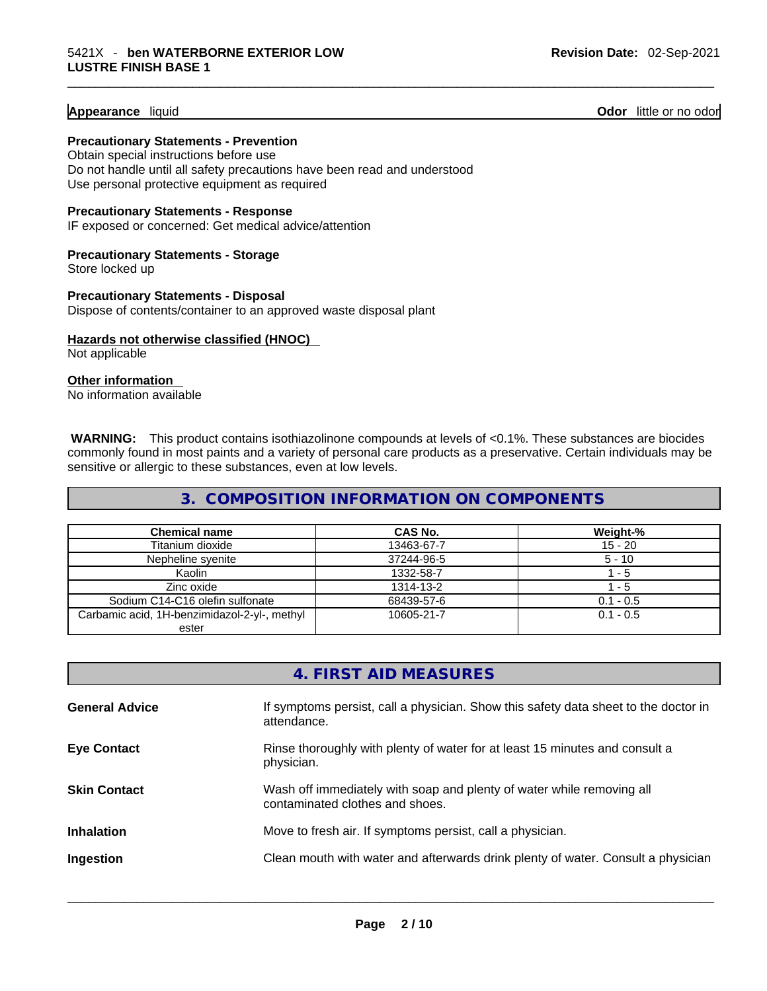# **Appearance** liquid **Odor 11** and **Odor 11** and **Odor 11** and **Odor 11** and **Odor** 11 and **Odor** 11 and **Odor** 11 and **Odor** 11 and **Odor** 11 and **Odor** 11 and **Odor** 11 and **Odor** 11 and **Odor** 11 and **Odor** 11 and **Odor**

# **Precautionary Statements - Prevention**

Obtain special instructions before use Do not handle until all safety precautions have been read and understood Use personal protective equipment as required

#### **Precautionary Statements - Response**

IF exposed or concerned: Get medical advice/attention

#### **Precautionary Statements - Storage** Store locked up

# **Precautionary Statements - Disposal** Dispose of contents/container to an approved waste disposal plant

#### **Hazards not otherwise classified (HNOC)**  Not applicable

# **Other information**

No information available

**WARNING:** This product contains isothiazolinone compounds at levels of <0.1%. These substances are biocides commonly found in most paints and a variety of personal care products as a preservative. Certain individuals may be sensitive or allergic to these substances, even at low levels.

# **3. COMPOSITION INFORMATION ON COMPONENTS**

| <b>Chemical name</b>                         | CAS No.    | Weight-%    |
|----------------------------------------------|------------|-------------|
| Titanium dioxide                             | 13463-67-7 | $15 - 20$   |
| Nepheline syenite                            | 37244-96-5 | $5 - 10$    |
| Kaolin                                       | 1332-58-7  | $-5$        |
| Zinc oxide                                   | 1314-13-2  | - 5         |
| Sodium C14-C16 olefin sulfonate              | 68439-57-6 | $0.1 - 0.5$ |
| Carbamic acid, 1H-benzimidazol-2-yl-, methyl | 10605-21-7 | $0.1 - 0.5$ |
| ester                                        |            |             |

# **4. FIRST AID MEASURES**

| <b>General Advice</b> | If symptoms persist, call a physician. Show this safety data sheet to the doctor in<br>attendance.       |
|-----------------------|----------------------------------------------------------------------------------------------------------|
| <b>Eye Contact</b>    | Rinse thoroughly with plenty of water for at least 15 minutes and consult a<br>physician.                |
| <b>Skin Contact</b>   | Wash off immediately with soap and plenty of water while removing all<br>contaminated clothes and shoes. |
| <b>Inhalation</b>     | Move to fresh air. If symptoms persist, call a physician.                                                |
| Ingestion             | Clean mouth with water and afterwards drink plenty of water. Consult a physician                         |
|                       |                                                                                                          |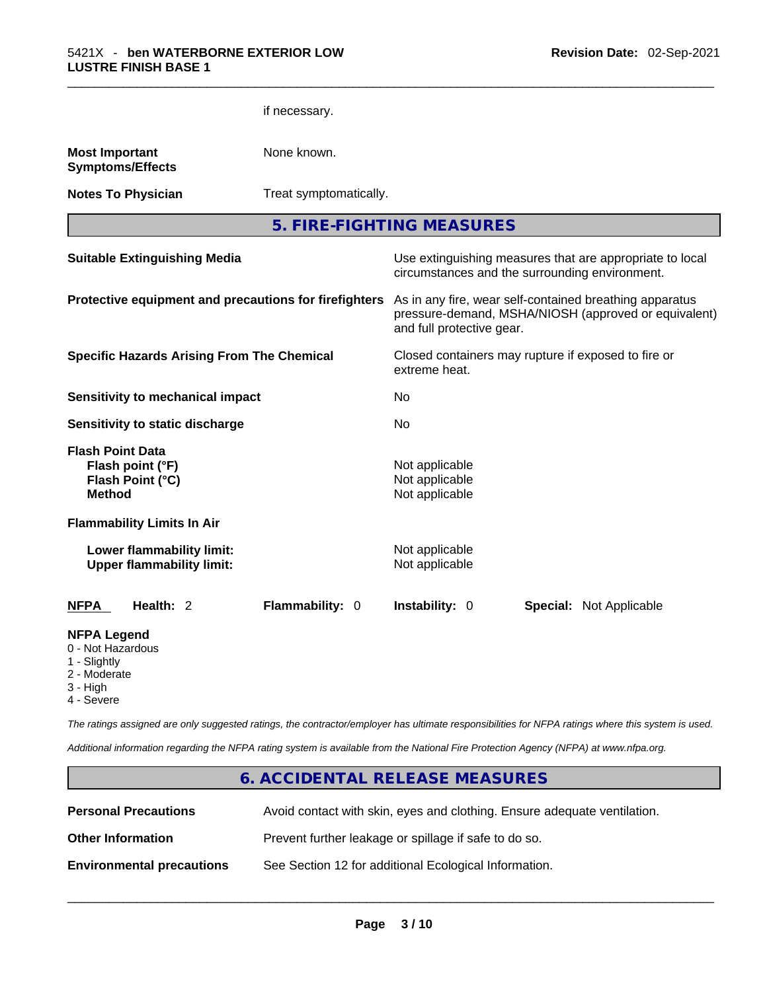|                                                                                  |                                                               | if necessary.                                         |                                                                                                                                              |  |                                                          |
|----------------------------------------------------------------------------------|---------------------------------------------------------------|-------------------------------------------------------|----------------------------------------------------------------------------------------------------------------------------------------------|--|----------------------------------------------------------|
| <b>Most Important</b><br><b>Symptoms/Effects</b>                                 |                                                               | None known.                                           |                                                                                                                                              |  |                                                          |
| <b>Notes To Physician</b>                                                        |                                                               | Treat symptomatically.                                |                                                                                                                                              |  |                                                          |
|                                                                                  |                                                               | 5. FIRE-FIGHTING MEASURES                             |                                                                                                                                              |  |                                                          |
|                                                                                  | <b>Suitable Extinguishing Media</b>                           |                                                       | circumstances and the surrounding environment.                                                                                               |  | Use extinguishing measures that are appropriate to local |
|                                                                                  |                                                               | Protective equipment and precautions for firefighters | As in any fire, wear self-contained breathing apparatus<br>pressure-demand, MSHA/NIOSH (approved or equivalent)<br>and full protective gear. |  |                                                          |
|                                                                                  | <b>Specific Hazards Arising From The Chemical</b>             |                                                       | Closed containers may rupture if exposed to fire or<br>extreme heat.                                                                         |  |                                                          |
|                                                                                  | <b>Sensitivity to mechanical impact</b>                       |                                                       | No.                                                                                                                                          |  |                                                          |
|                                                                                  | Sensitivity to static discharge                               |                                                       | No                                                                                                                                           |  |                                                          |
| <b>Flash Point Data</b><br>Flash point (°F)<br>Flash Point (°C)<br><b>Method</b> |                                                               |                                                       | Not applicable<br>Not applicable<br>Not applicable                                                                                           |  |                                                          |
| <b>Flammability Limits In Air</b>                                                |                                                               |                                                       |                                                                                                                                              |  |                                                          |
|                                                                                  | Lower flammability limit:<br><b>Upper flammability limit:</b> |                                                       | Not applicable<br>Not applicable                                                                                                             |  |                                                          |
| NFPA                                                                             | Health: 2                                                     | Flammability: 0                                       | Instability: 0                                                                                                                               |  | <b>Special: Not Applicable</b>                           |
| <b>NFPA Legend</b><br>0 - Not Hazardous<br>1 - Slightly<br>2 - Moderate          |                                                               |                                                       |                                                                                                                                              |  |                                                          |

- 3 High
- 4 Severe

*The ratings assigned are only suggested ratings, the contractor/employer has ultimate responsibilities for NFPA ratings where this system is used.* 

*Additional information regarding the NFPA rating system is available from the National Fire Protection Agency (NFPA) at www.nfpa.org.* 

# **6. ACCIDENTAL RELEASE MEASURES**

| <b>Personal Precautions</b>      | Avoid contact with skin, eyes and clothing. Ensure adequate ventilation. |
|----------------------------------|--------------------------------------------------------------------------|
| <b>Other Information</b>         | Prevent further leakage or spillage if safe to do so.                    |
| <b>Environmental precautions</b> | See Section 12 for additional Ecological Information.                    |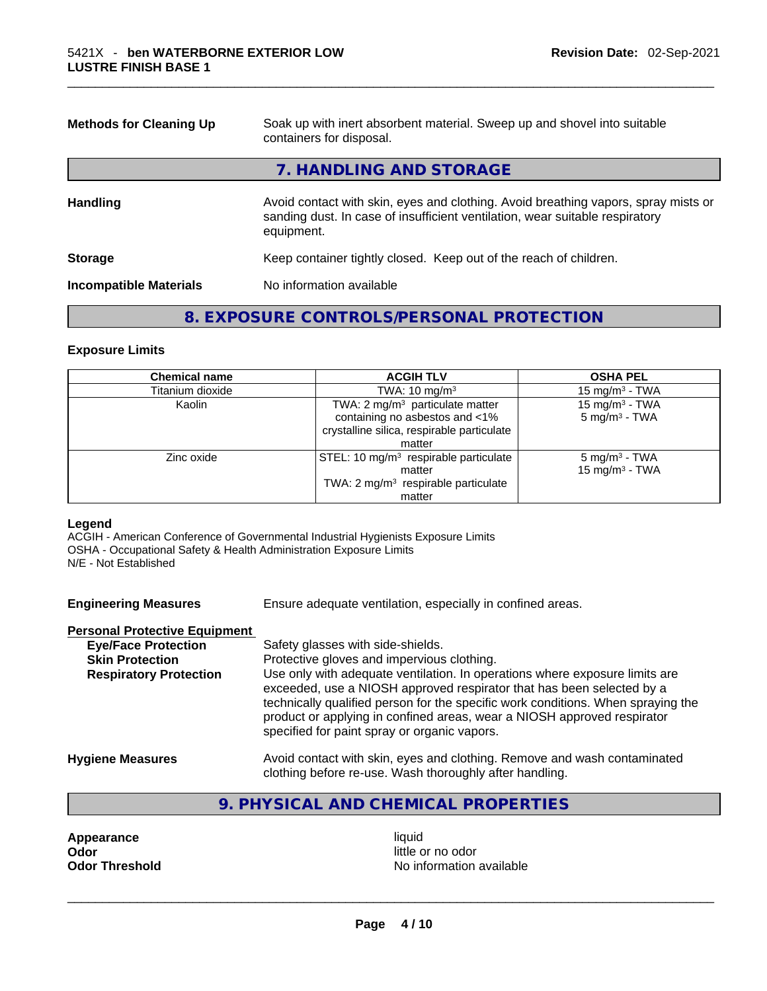| <b>Methods for Cleaning Up</b> | Soak up with inert absorbent material. Sweep up and shovel into suitable<br>containers for disposal.                                                                             |
|--------------------------------|----------------------------------------------------------------------------------------------------------------------------------------------------------------------------------|
|                                | 7. HANDLING AND STORAGE                                                                                                                                                          |
| <b>Handling</b>                | Avoid contact with skin, eyes and clothing. Avoid breathing vapors, spray mists or<br>sanding dust. In case of insufficient ventilation, wear suitable respiratory<br>equipment. |
| <b>Storage</b>                 | Keep container tightly closed. Keep out of the reach of children.                                                                                                                |
| <b>Incompatible Materials</b>  | No information available                                                                                                                                                         |
|                                |                                                                                                                                                                                  |

# **8. EXPOSURE CONTROLS/PERSONAL PROTECTION**

# **Exposure Limits**

| <b>Chemical name</b> | <b>ACGIH TLV</b>                                  | <b>OSHA PEL</b>            |
|----------------------|---------------------------------------------------|----------------------------|
| Titanium dioxide     | TWA: $10 \text{ mg/m}^3$                          | 15 mg/m $3$ - TWA          |
| Kaolin               | TWA: 2 mg/m <sup>3</sup> particulate matter       | 15 mg/m <sup>3</sup> - TWA |
|                      | containing no asbestos and <1%                    | $5 \text{ mg/m}^3$ - TWA   |
|                      | crystalline silica, respirable particulate        |                            |
|                      | matter                                            |                            |
| Zinc oxide           | STEL: 10 mg/m <sup>3</sup> respirable particulate | $5 \text{ mg/m}^3$ - TWA   |
|                      | matter                                            | 15 mg/m <sup>3</sup> - TWA |
|                      | TWA: 2 mg/m <sup>3</sup> respirable particulate   |                            |
|                      | matter                                            |                            |

#### **Legend**

ACGIH - American Conference of Governmental Industrial Hygienists Exposure Limits OSHA - Occupational Safety & Health Administration Exposure Limits N/E - Not Established

**Engineering Measures** Ensure adequate ventilation, especially in confined areas.

#### **Personal Protective Equipment**

| <b>Eye/Face Protection</b>    | Safety glasses with side-shields.                                                                                                                                                                                                                                                                                                                                   |
|-------------------------------|---------------------------------------------------------------------------------------------------------------------------------------------------------------------------------------------------------------------------------------------------------------------------------------------------------------------------------------------------------------------|
| <b>Skin Protection</b>        | Protective gloves and impervious clothing.                                                                                                                                                                                                                                                                                                                          |
| <b>Respiratory Protection</b> | Use only with adequate ventilation. In operations where exposure limits are<br>exceeded, use a NIOSH approved respirator that has been selected by a<br>technically qualified person for the specific work conditions. When spraying the<br>product or applying in confined areas, wear a NIOSH approved respirator<br>specified for paint spray or organic vapors. |
| <b>Hygiene Measures</b>       | Avoid contact with skin, eyes and clothing. Remove and wash contaminated                                                                                                                                                                                                                                                                                            |
|                               | clothing before re-use. Wash thoroughly after handling.                                                                                                                                                                                                                                                                                                             |

# **9. PHYSICAL AND CHEMICAL PROPERTIES**

**Appearance** liquid **Odor** little or no odor

**Odor Threshold** No information available \_\_\_\_\_\_\_\_\_\_\_\_\_\_\_\_\_\_\_\_\_\_\_\_\_\_\_\_\_\_\_\_\_\_\_\_\_\_\_\_\_\_\_\_\_\_\_\_\_\_\_\_\_\_\_\_\_\_\_\_\_\_\_\_\_\_\_\_\_\_\_\_\_\_\_\_\_\_\_\_\_\_\_\_\_\_\_\_\_\_\_\_\_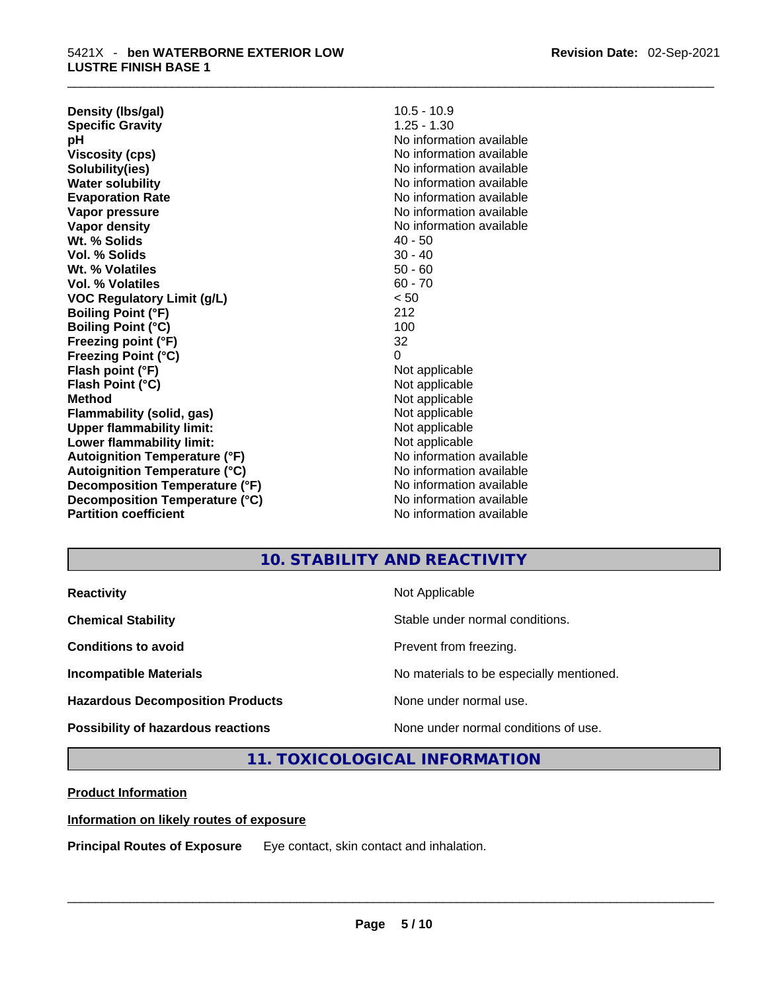**Density (lbs/gal)** 10.5 - 10.9 **Specific Gravity** 1.25 - 1.30 **pH** No information available **Viscosity (cps) No information available No information available Solubility(ies)** No information available **Water solubility No information available No information available Evaporation Rate Note 2008 No information available Vapor pressure and areas in the contract of the Vapor density of the Vapor density of the Vapor density of the V**<br> **No information available Wt. % Solids** 40 - 50 **Vol. % Solids** 30 - 40 **Wt. % Volatiles Vol. % Volatiles** 60 - 70 **VOC Regulatory Limit (g/L)** < 50 **Boiling Point (°F)** 212 **Boiling Point (°C)** 100 **Freezing point (°F)** 32 **Freezing Point (°C)** 0 **Flash point (°F)** Not applicable **Flash Point (°C)** Not applicable **Method** Not applicable **Flammability (solid, gas)** Not applicable **Upper flammability limit:**<br> **Lower flammability limit:** Not applicable Not applicable **Lower flammability limit: Autoignition Temperature (°F)** No information available **Autoignition Temperature (°C)** No information available **Decomposition Temperature (°F)** No information available **Decomposition Temperature (°C)** No information available **Partition coefficient Contract Community No information available** 

**No information available** 

# **10. STABILITY AND REACTIVITY**

**Reactivity Not Applicable Not Applicable Chemical Stability** Stable under normal conditions. **Conditions to avoid Prevent from freezing. Incompatible Materials No materials** No materials to be especially mentioned. **Hazardous Decomposition Products** None under normal use. **Possibility of hazardous reactions** None under normal conditions of use.

**11. TOXICOLOGICAL INFORMATION** 

# **Product Information**

# **Information on likely routes of exposure**

**Principal Routes of Exposure** Eye contact, skin contact and inhalation. \_\_\_\_\_\_\_\_\_\_\_\_\_\_\_\_\_\_\_\_\_\_\_\_\_\_\_\_\_\_\_\_\_\_\_\_\_\_\_\_\_\_\_\_\_\_\_\_\_\_\_\_\_\_\_\_\_\_\_\_\_\_\_\_\_\_\_\_\_\_\_\_\_\_\_\_\_\_\_\_\_\_\_\_\_\_\_\_\_\_\_\_\_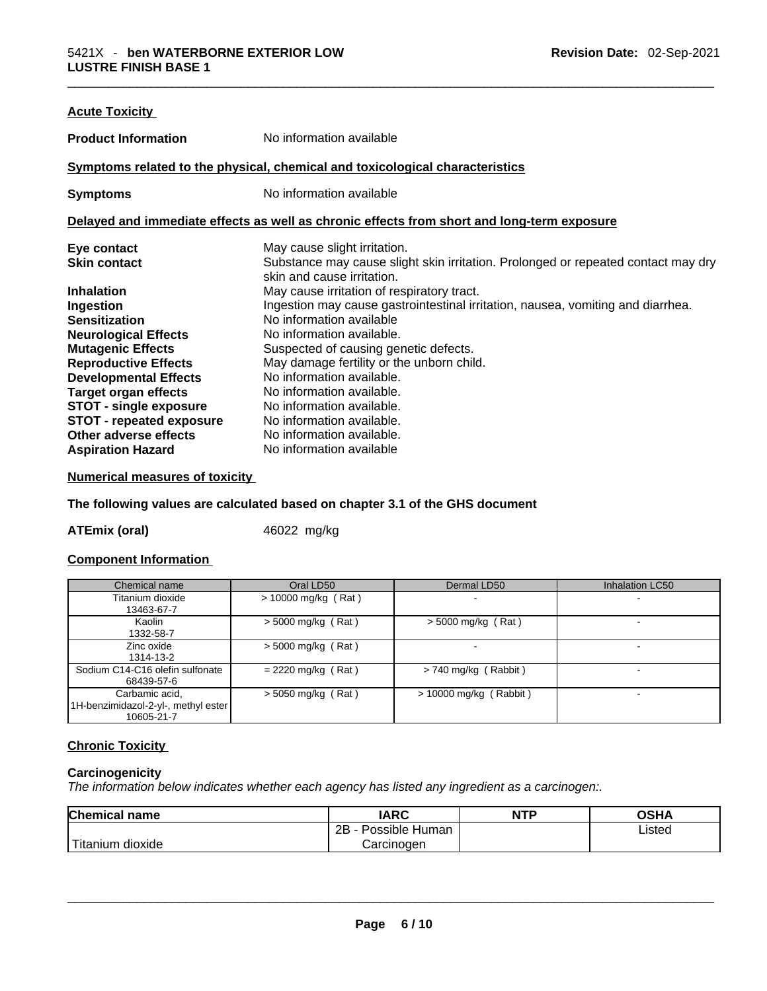| <b>Acute Toxicity</b>           |                                                                                                                 |
|---------------------------------|-----------------------------------------------------------------------------------------------------------------|
| <b>Product Information</b>      | No information available                                                                                        |
|                                 | Symptoms related to the physical, chemical and toxicological characteristics                                    |
| <b>Symptoms</b>                 | No information available                                                                                        |
|                                 | Delayed and immediate effects as well as chronic effects from short and long-term exposure                      |
| Eye contact                     | May cause slight irritation.                                                                                    |
| <b>Skin contact</b>             | Substance may cause slight skin irritation. Prolonged or repeated contact may dry<br>skin and cause irritation. |
| <b>Inhalation</b>               | May cause irritation of respiratory tract.                                                                      |
| Ingestion                       | Ingestion may cause gastrointestinal irritation, nausea, vomiting and diarrhea.                                 |
| <b>Sensitization</b>            | No information available                                                                                        |
| <b>Neurological Effects</b>     | No information available.                                                                                       |
| <b>Mutagenic Effects</b>        | Suspected of causing genetic defects.                                                                           |
| <b>Reproductive Effects</b>     | May damage fertility or the unborn child.                                                                       |
| <b>Developmental Effects</b>    | No information available.                                                                                       |
| <b>Target organ effects</b>     | No information available.                                                                                       |
| <b>STOT - single exposure</b>   | No information available.                                                                                       |
| <b>STOT - repeated exposure</b> | No information available.                                                                                       |
| Other adverse effects           | No information available.                                                                                       |
| <b>Aspiration Hazard</b>        | No information available                                                                                        |

# **Numerical measures of toxicity**

**The following values are calculated based on chapter 3.1 of the GHS document**

**ATEmix (oral)** 46022 mg/kg

# **Component Information**

| Chemical name                       | Oral LD50             | Dermal LD50              | <b>Inhalation LC50</b>   |
|-------------------------------------|-----------------------|--------------------------|--------------------------|
| Titanium dioxide                    | $> 10000$ mg/kg (Rat) |                          |                          |
| 13463-67-7                          |                       |                          |                          |
| Kaolin                              | $>$ 5000 mg/kg (Rat)  | $>$ 5000 mg/kg (Rat)     |                          |
| 1332-58-7                           |                       |                          |                          |
| Zinc oxide                          | $>$ 5000 mg/kg (Rat)  |                          |                          |
| 1314-13-2                           |                       |                          |                          |
| Sodium C14-C16 olefin sulfonate     | $= 2220$ mg/kg (Rat)  | $> 740$ mg/kg (Rabbit)   | $\overline{\phantom{a}}$ |
| 68439-57-6                          |                       |                          |                          |
| Carbamic acid,                      | $>$ 5050 mg/kg (Rat)  | $> 10000$ mg/kg (Rabbit) |                          |
| 1H-benzimidazol-2-yl-, methyl ester |                       |                          |                          |
| 10605-21-7                          |                       |                          |                          |

# **Chronic Toxicity**

#### **Carcinogenicity**

*The information below indicates whether each agency has listed any ingredient as a carcinogen:.* 

| <b>Chemical name</b> | <b>IARC</b>         | <b>NTP</b> | <b>OSHA</b> |
|----------------------|---------------------|------------|-------------|
|                      | 2B - Possible Human |            | Listed      |
| Titanium dioxide     | Carcinogen          |            |             |
|                      |                     |            |             |
|                      |                     |            |             |
|                      |                     |            |             |
|                      |                     |            |             |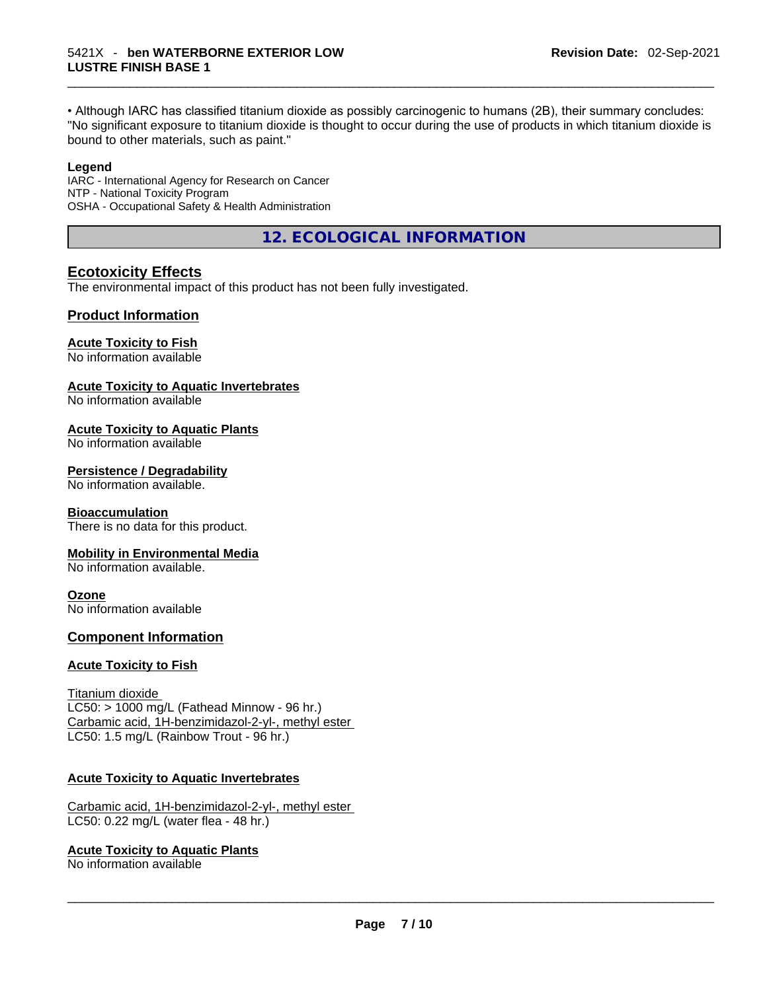• Although IARC has classified titanium dioxide as possibly carcinogenic to humans (2B), their summary concludes: "No significant exposure to titanium dioxide is thought to occur during the use of products in which titanium dioxide is bound to other materials, such as paint."

# **Legend**

IARC - International Agency for Research on Cancer NTP - National Toxicity Program OSHA - Occupational Safety & Health Administration

**12. ECOLOGICAL INFORMATION** 

# **Ecotoxicity Effects**

The environmental impact of this product has not been fully investigated.

# **Product Information**

# **Acute Toxicity to Fish**

No information available

# **Acute Toxicity to Aquatic Invertebrates**

No information available

# **Acute Toxicity to Aquatic Plants**

No information available

# **Persistence / Degradability**

No information available.

# **Bioaccumulation**

There is no data for this product.

# **Mobility in Environmental Media**

No information available.

# **Ozone**

No information available

# **Component Information**

# **Acute Toxicity to Fish**

Titanium dioxide  $LC50:$  > 1000 mg/L (Fathead Minnow - 96 hr.) Carbamic acid, 1H-benzimidazol-2-yl-, methyl ester LC50: 1.5 mg/L (Rainbow Trout - 96 hr.)

# **Acute Toxicity to Aquatic Invertebrates**

Carbamic acid, 1H-benzimidazol-2-yl-, methyl ester LC50: 0.22 mg/L (water flea - 48 hr.)

# **Acute Toxicity to Aquatic Plants**

No information available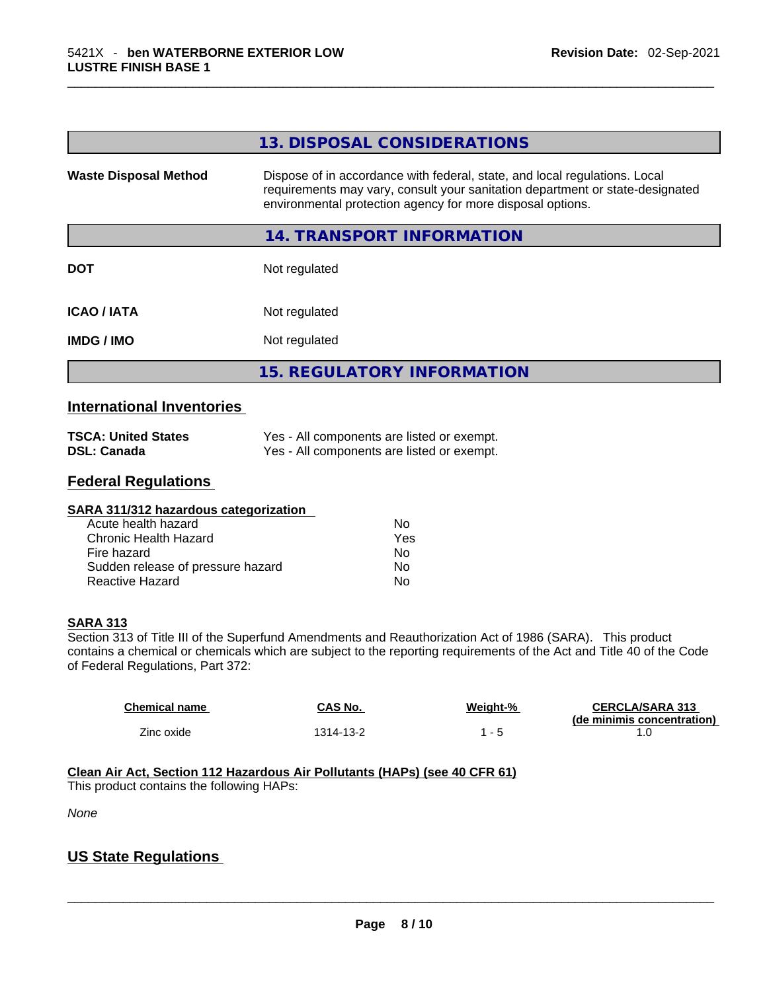| 13. DISPOSAL CONSIDERATIONS                                                                                                                                                                                                                               |
|-----------------------------------------------------------------------------------------------------------------------------------------------------------------------------------------------------------------------------------------------------------|
| Dispose of in accordance with federal, state, and local regulations. Local<br><b>Waste Disposal Method</b><br>requirements may vary, consult your sanitation department or state-designated<br>environmental protection agency for more disposal options. |
| 14. TRANSPORT INFORMATION                                                                                                                                                                                                                                 |
| <b>DOT</b><br>Not regulated                                                                                                                                                                                                                               |
| <b>ICAO/IATA</b><br>Not regulated                                                                                                                                                                                                                         |
| Not regulated<br>IMDG / IMO                                                                                                                                                                                                                               |
| <b>15. REGULATORY INFORMATION</b>                                                                                                                                                                                                                         |
| <b>International Inventories</b>                                                                                                                                                                                                                          |

| <b>TSCA: United States</b> | Yes - All components are listed or exempt. |
|----------------------------|--------------------------------------------|
| <b>DSL: Canada</b>         | Yes - All components are listed or exempt. |

# **Federal Regulations**

| SARA 311/312 hazardous categorization |     |  |
|---------------------------------------|-----|--|
| Acute health hazard                   | Nο  |  |
| Chronic Health Hazard                 | Yes |  |
| Fire hazard                           | No  |  |
| Sudden release of pressure hazard     | No  |  |
| Reactive Hazard                       | No  |  |
|                                       |     |  |

# **SARA 313**

Section 313 of Title III of the Superfund Amendments and Reauthorization Act of 1986 (SARA). This product contains a chemical or chemicals which are subject to the reporting requirements of the Act and Title 40 of the Code of Federal Regulations, Part 372:

| <b>Chemical name</b> | CAS No.   | Weight-% | <b>CERCLA/SARA 313</b>     |
|----------------------|-----------|----------|----------------------------|
|                      |           |          | (de minimis concentration) |
| Zinc oxide           | 1314-13-2 |          |                            |

# **Clean Air Act,Section 112 Hazardous Air Pollutants (HAPs) (see 40 CFR 61)** This product contains the following HAPs:

*None*

# **US State Regulations**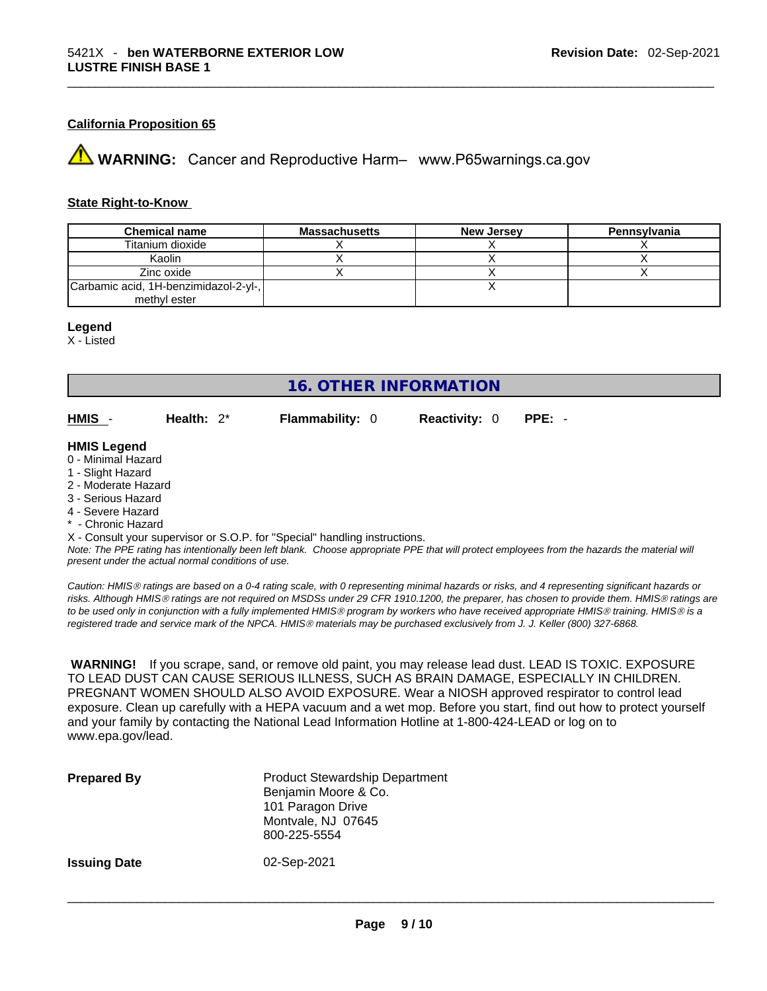# **California Proposition 65**

**A** WARNING: Cancer and Reproductive Harm– www.P65warnings.ca.gov

# **State Right-to-Know**

| <b>Chemical name</b>                  | <b>Massachusetts</b> | <b>New Jersey</b> | Pennsvlvania |
|---------------------------------------|----------------------|-------------------|--------------|
| Titanium dioxide                      |                      |                   |              |
| Kaolin                                |                      |                   |              |
| Zinc oxide                            |                      |                   |              |
| Carbamic acid, 1H-benzimidazol-2-yl-, |                      |                   |              |
| methyl ester                          |                      |                   |              |

#### **Legend**

X - Listed

# **16. OTHER INFORMATION**

| HMIS -<br>Health: 2*<br><b>Flammability: 0</b><br><b>Reactivity: 0 PPE: -</b> |  |
|-------------------------------------------------------------------------------|--|
|-------------------------------------------------------------------------------|--|

# **HMIS Legend**

- 0 Minimal Hazard
- 1 Slight Hazard
- 2 Moderate Hazard
- 3 Serious Hazard
- 4 Severe Hazard
- \* Chronic Hazard
- X Consult your supervisor or S.O.P. for "Special" handling instructions.

Note: The PPE rating has intentionally been left blank. Choose appropriate PPE that will protect employees from the hazards the material will *present under the actual normal conditions of use.* 

*Caution: HMISÒ ratings are based on a 0-4 rating scale, with 0 representing minimal hazards or risks, and 4 representing significant hazards or risks. Although HMISÒ ratings are not required on MSDSs under 29 CFR 1910.1200, the preparer, has chosen to provide them. HMISÒ ratings are to be used only in conjunction with a fully implemented HMISÒ program by workers who have received appropriate HMISÒ training. HMISÒ is a registered trade and service mark of the NPCA. HMISÒ materials may be purchased exclusively from J. J. Keller (800) 327-6868.* 

 **WARNING!** If you scrape, sand, or remove old paint, you may release lead dust. LEAD IS TOXIC. EXPOSURE TO LEAD DUST CAN CAUSE SERIOUS ILLNESS, SUCH AS BRAIN DAMAGE, ESPECIALLY IN CHILDREN. PREGNANT WOMEN SHOULD ALSO AVOID EXPOSURE.Wear a NIOSH approved respirator to control lead exposure. Clean up carefully with a HEPA vacuum and a wet mop. Before you start, find out how to protect yourself and your family by contacting the National Lead Information Hotline at 1-800-424-LEAD or log on to www.epa.gov/lead.

| <b>Prepared By</b>  | <b>Product Stewardship Department</b><br>Benjamin Moore & Co.<br>101 Paragon Drive<br>Montvale, NJ 07645<br>800-225-5554 |
|---------------------|--------------------------------------------------------------------------------------------------------------------------|
| <b>Issuing Date</b> | 02-Sep-2021                                                                                                              |